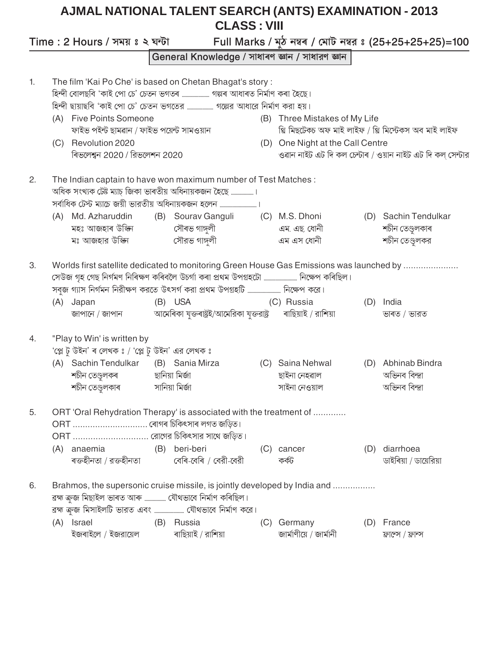## **AJMAL NATIONAL TALENT SEARCH (ANTS) EXAMINATION - 2013 CLASS: VIII**

Full Marks / মুঠ নম্বৰ / মোট নম্বর ঃ (25+25+25+25)=100 Time: 2 Hours / সময় ঃ ২ ঘন্টা General Knowledge / সাধাৰণ জ্ঞান / সাধারণ জ্ঞান The film 'Kai Po Che' is based on Chetan Bhagat's story: 1. হিন্দী বোলছবি 'কাই পো চে' চেতন ভগতৰ ....................... গল্পৰ আধাৰত নিৰ্মাণ কৰা হৈছে। হিন্দী ছায়াছবি 'কাই পো চে' চেতন ভগতের ..................... গল্পের আধারে নির্মাণ করা হয়। (A) Five Points Someone (B) Three Mistakes of My Life থি মিছটেকচ অফ মাই লাইফ / থ্ৰি মিস্টেকস অব মাই লাইফ ফাইভ পইন্ট ছামৱান / ফাইভ পয়েন্ট সামওয়ান (C) Revolution 2020 (D) One Night at the Call Centre ৰিভলেশ্বন 2020 / রিভলেশন 2020 ওৱান নাইট এট দি কল চেন্টাৰ / ওয়ান নাইট এট দি কল সেন্টার The Indian captain to have won maximum number of Test Matches:  $2.$ অধিক সংখ্যক টেষ্ট ম্যাচ্ জিকা ভাৰতীয় অধিনায়কজন হৈছে ..................। (A) Md. Azharuddin (B) Sourav Ganguli (D) Sachin Tendulkar (C) M.S. Dhoni মহঃ আজহাৰ উক্কিা সৌৰভ গাঙ্গুলী এম. এছ. ধোনী শচীন তেণ্ডুলকাৰ মঃ আজহার উপ্কিন সৌরভ গাঙ্গলী এম এস ধোনী শচীন তেণ্ডুলকর Worlds first satellite dedicated to monitoring Green House Gas Emissions was launched by ..................... 3. সেউজ গৃহ গেছ নিৰ্গমণ নিৰিক্ষণ কৰিবলৈ উচৰ্গা কৰা প্ৰথম উপগ্ৰহটো ............................ নিক্ষেপ কৰিছিল। (B) USA (A) Japan (C) Russia (D) India আমেৰিকা যুক্তৰাষ্ট্ৰই/আমেরিকা যুক্তরাষ্ট্র ৰাছিয়াই / রাশিয়া জাপানে / জাপান ভাৰত / ভারত

"Play to Win' is written by 'প্লে ট উইন' ৰ লেখক ঃ / 'প্লে ট উইন' এর লেখক ঃ

 $4.$ 

| (A) Sachin Tendulkar | (B) Sania Mirza | (C) Saina Nehwal | (D) Abhinab Bindra |
|----------------------|-----------------|------------------|--------------------|
| শচীন তেণ্ডুলকৰ       | ছানিয়া মিৰ্জা  | ছাইনা নেহৱাল     | অভিনব বিন্দ্ৰা     |
| শচীন তেণ্ডুলকাৰ      | সানিয়া মিৰ্জা  | সাইনা নেওয়াল    | অভিনব বিন্দ্ৰা     |

|  |                                             | 5. ORT 'Oral Rehydration Therapy' is associated with the treatment of |       |                       |
|--|---------------------------------------------|-----------------------------------------------------------------------|-------|-----------------------|
|  |                                             |                                                                       |       |                       |
|  | $ORT$ রোগের চিকিৎসার সাথে জডিত।             |                                                                       |       |                       |
|  |                                             | (A) anaemia (B) beri-beri (C) cancer                                  |       | (D) diarrhoea         |
|  | ৰক্তহীনতা / রক্তহীনতা বেৰি-বেৰি / বেরী-বেরী |                                                                       | কৰ্কট | ডাইৰিয়া / ডায়েরিয়া |

| 6. |     |                                                     |     | Brahmos, the supersonic cruise missile, is jointly developed by India and |     |                        |                    |
|----|-----|-----------------------------------------------------|-----|---------------------------------------------------------------------------|-----|------------------------|--------------------|
|    |     | ৱহ্ম ক্ৰুজ মিছাইল ভাৰত আৰু  যৌথভাবে নিৰ্মাণ কৰিছিল। |     |                                                                           |     |                        |                    |
|    |     |                                                     |     |                                                                           |     |                        |                    |
|    | (A) | Israel                                              | (B) | Russia                                                                    | (C) | Germany                | (D) France         |
|    |     | ইজৰাইলে / ইজরায়েল                                  |     | ৰাছিয়াই / রাশিয়া                                                        |     | জার্মাণীয়ে / জার্মানী | ফ্রান্সে / ফ্রান্স |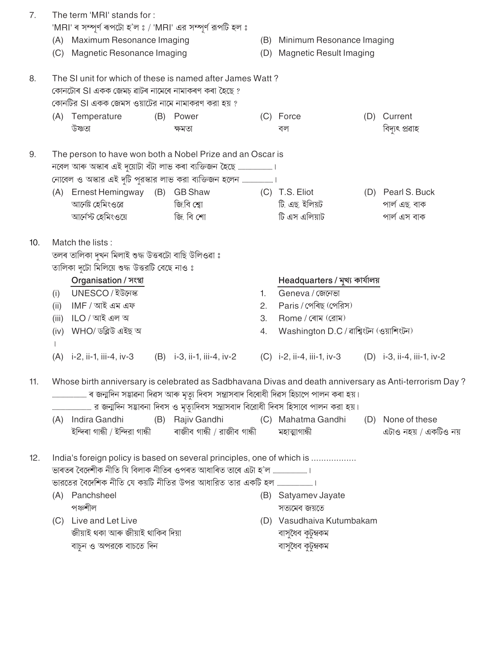| 7.  |       | The term 'MRI' stands for:<br>'MRI' ৰ সম্পূৰ্ণ ৰূপটো হ'ল ঃ / 'MRI' এর সম্পূৰ্ণ রূপটি হল ঃ                                                                            |                              |     |                                        |     |                                     |
|-----|-------|----------------------------------------------------------------------------------------------------------------------------------------------------------------------|------------------------------|-----|----------------------------------------|-----|-------------------------------------|
|     |       | (A) Maximum Resonance Imaging                                                                                                                                        |                              |     | (B) Minimum Resonance Imaging          |     |                                     |
|     | (C)   | Magnetic Resonance Imaging                                                                                                                                           |                              | (D) | <b>Magnetic Result Imaging</b>         |     |                                     |
| 8.  |       | The SI unit for which of these is named after James Watt?<br>কোনটোৰ SI একক জেমচ্ ৱাটৰ নামেৰে নামাকৰণ কৰা হৈছে ?<br>কোনটির SI একক জেমস ওয়াটের নামে নামাকরণ করা হয় ? |                              |     |                                        |     | Current                             |
|     | (A)   | Temperature<br>উষ্ণতা                                                                                                                                                | (B) Power<br>ক্ষমতা          |     | (C) Force<br>বল                        | (D) | বিদ্যুৎ প্ৰৱাহ                      |
|     |       |                                                                                                                                                                      |                              |     |                                        |     |                                     |
| 9.  |       | The person to have won both a Nobel Prize and an Oscar is                                                                                                            |                              |     |                                        |     |                                     |
|     |       | নোবেল ও অস্কার এই দুটি পুরস্কার লাভ করা ব্যক্তিজন হলেন ।                                                                                                             |                              |     |                                        |     |                                     |
|     |       | (A) Ernest Hemingway (B) GB Shaw                                                                                                                                     |                              |     | (C) T.S. Eliot                         |     | (D) Pearl S. Buck                   |
|     |       | আৰ্নেষ্ট হেমিংওৱে                                                                                                                                                    | জি.বি শ্বো                   |     | টি. এছ. ইলিয়ট                         |     | পাৰ্ল এছ. বাক                       |
|     |       | আৰ্নেস্ট হেমিংওয়ে                                                                                                                                                   | জি. বি শো                    |     | টি এস এলিয়াট                          |     | পাৰ্ল এস বাক                        |
| 10. |       | Match the lists:                                                                                                                                                     |                              |     |                                        |     |                                     |
|     |       | তলৰ তালিকা দুখন মিলাই শুদ্ধ উত্তৰটো বাছি উলিওৱা ঃ                                                                                                                    |                              |     |                                        |     |                                     |
|     |       | তালিকা দুটো মিলিয়ে শুদ্ধ উত্তরটি বেছে নাও ঃ                                                                                                                         |                              |     |                                        |     |                                     |
|     |       | Organisation / সংস্থা                                                                                                                                                |                              |     | Headquarters / মুখ্য কাৰ্যালয়         |     |                                     |
|     | (i)   | UNESCO/ইউনেস্ক                                                                                                                                                       |                              | 1.  | Geneva / জেনেভা                        |     |                                     |
|     | (ii)  | IMF / আই এম এফ                                                                                                                                                       |                              | 2.  | Paris / পেৰিছ (পেরিস)                  |     |                                     |
|     | (iii) | ILO / আই এল অ                                                                                                                                                        |                              | 3.  | Rome / ৰোম $($ রোম $)$                 |     |                                     |
|     |       | (iv) WHO/ডব্লিউ এইছ অ                                                                                                                                                |                              | 4.  | Washington D.C / ৰাশ্বিংটন (ওয়াশিংটন) |     |                                     |
|     | (A)   | i-2, ii-1, iii-4, iv-3                                                                                                                                               | $(B)$ i-3, ii-1, iii-4, iv-2 |     | $(C)$ i-2, ii-4, iii-1, iv-3           |     | (D) $i-3$ , $i-4$ , $ii-1$ , $iv-2$ |
| 11. |       | Whose birth anniversary is celebrated as Sadbhavana Divas and death anniversary as Anti-terrorism Day?                                                               |                              |     |                                        |     |                                     |
|     |       | (A) Indira Gandhi                                                                                                                                                    | (B) Rajiv Gandhi             |     | (C) Mahatma Gandhi                     |     | (D) None of these                   |
|     |       | ইন্দিৰা গান্ধী / ইন্দিরা গান্ধী                                                                                                                                      | ৰাজীব গান্ধী / রাজীব গান্ধী  |     | মহাত্মাগান্ধী                          |     | এটাও নহয় / একটিও নয়               |
| 12. |       | India's foreign policy is based on several principles, one of which is                                                                                               |                              |     |                                        |     |                                     |
|     |       |                                                                                                                                                                      |                              |     |                                        |     |                                     |
|     |       | (A) Panchsheel<br>পঞ্চশীল                                                                                                                                            |                              |     | (B) Satyamev Jayate<br>সত্যমেব জয়তে   |     |                                     |
|     |       | (C) Live and Let Live                                                                                                                                                |                              |     | (D) Vasudhaiva Kutumbakam              |     |                                     |
|     |       | জীয়াই থকা আৰু জীয়াই থাকিব দিয়া                                                                                                                                    |                              |     | বাসুধৈব কুটুম্বকম                      |     |                                     |
|     |       | বাচুন ও অপরকে বাচতে দিন                                                                                                                                              |                              |     | বাসুধৈব কুটুম্বকম                      |     |                                     |
|     |       |                                                                                                                                                                      |                              |     |                                        |     |                                     |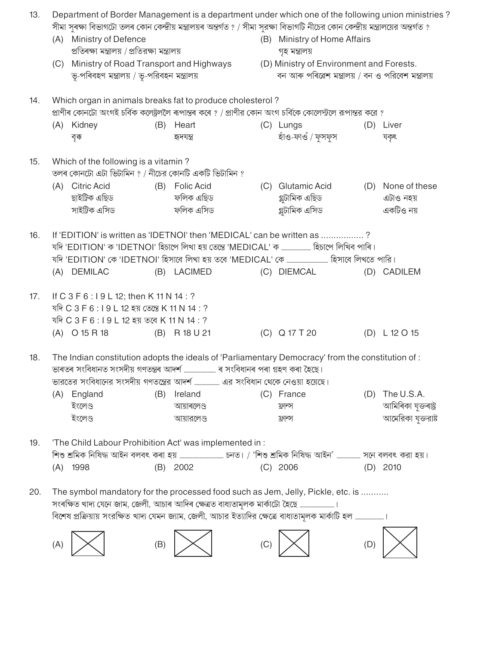| 13. |     |                                                                      |     | Department of Border Management is a department under which one of the following union ministries                                  |     |                                                   |     |                      |
|-----|-----|----------------------------------------------------------------------|-----|------------------------------------------------------------------------------------------------------------------------------------|-----|---------------------------------------------------|-----|----------------------|
|     |     |                                                                      |     | সীমা সুৰক্ষা বিভাগটো তলৰ কোন কেন্দ্ৰীয় মন্ত্ৰালয়ৰ অন্তৰ্গত ? / সীমা সুরক্ষা বিভাগটি নীচের কোন কেন্দ্ৰীয় মন্ত্ৰালয়ের অন্তৰ্গত ? |     |                                                   |     |                      |
|     | (A) | Ministry of Defence<br>প্ৰতিৰক্ষা মন্ত্ৰালয় / প্ৰতিরক্ষা মন্ত্ৰালয় |     |                                                                                                                                    |     | (B) Ministry of Home Affairs                      |     |                      |
|     |     |                                                                      |     |                                                                                                                                    |     | গৃহ মন্ত্ৰালয়                                    |     |                      |
|     | (C) |                                                                      |     | Ministry of Road Transport and Highways (D) Ministry of Environment and Forests.                                                   |     | বন আৰু পৰিৱেশ মন্ত্ৰালয় / বন ও পরিবেশ মন্ত্ৰালয় |     |                      |
|     |     | ড়-পৰিবহণ মন্ত্ৰালয় / ড়-পরিবহন মন্ত্ৰালয়                          |     |                                                                                                                                    |     |                                                   |     |                      |
| 14. |     |                                                                      |     | Which organ in animals breaks fat to produce cholesterol?                                                                          |     |                                                   |     |                      |
|     |     |                                                                      |     | প্রাণীৰ কোনটো অংগই চর্বিক কলেষ্ট্রললৈ ৰূপান্তৰ কৰে ? / প্রাণীর কোন অংগ চর্বিকে কোলেস্ট্যলে রূপান্তর করে ?                          |     |                                                   |     |                      |
|     |     | (A) Kidney                                                           | (B) | Heart                                                                                                                              |     | (C) Lungs                                         |     | (D) Liver            |
|     |     | বৃক্ক                                                                |     | হাদযন্ত                                                                                                                            |     | হাঁও-ফাওঁ / ফুসফুস                                |     | যকৃৎ                 |
| 15. |     | Which of the following is a vitamin?                                 |     |                                                                                                                                    |     |                                                   |     |                      |
|     |     | তলৰ কোনটো এটা ভিটামিন ? / নীচের কোনটি একটি ভিটামিন ?                 |     |                                                                                                                                    |     |                                                   |     |                      |
|     | (A) | Citric Acid                                                          | (B) | Folic Acid                                                                                                                         |     | (C) Glutamic Acid                                 |     | (D) None of these    |
|     |     | ছাইট্ৰিক এছিড                                                        |     | ফলিক এছিড                                                                                                                          |     | গ্লুটামিক এছিড                                    |     | এটাও নহয়            |
|     |     | সাইট্রিক এসিড                                                        |     | ফলিক এসিড                                                                                                                          |     | গ্লুটামিক এসিড                                    |     | একটিও নয়            |
|     |     |                                                                      |     |                                                                                                                                    |     |                                                   |     |                      |
| 16. |     |                                                                      |     | If 'EDITION' is written as 'IDETNOI' then 'MEDICAL' can be written as ?                                                            |     |                                                   |     |                      |
|     |     |                                                                      |     | যদি 'EDITION' ক 'IDETNOI' হিচাপে লিখা হয় তেন্তে 'MEDICAL' ক  হিচাপে লিখিব পাৰি।                                                   |     |                                                   |     |                      |
|     |     |                                                                      |     |                                                                                                                                    |     |                                                   |     |                      |
|     |     | (A) DEMILAC                                                          |     | (B) LACIMED                                                                                                                        |     | (C) DIEMCAL                                       |     | (D) CADILEM          |
| 17. |     | If C 3 F 6 : 19 L 12; then K 11 N 14 : ?                             |     |                                                                                                                                    |     |                                                   |     |                      |
|     |     | যদি C 3 F 6 : I 9 L 12 হয় তেন্তে K 11 N 14 : ?                      |     |                                                                                                                                    |     |                                                   |     |                      |
|     |     | যদি C 3 F 6 : I 9 L 12 হয় তবে K 11 N 14 : ?                         |     |                                                                                                                                    |     |                                                   |     |                      |
|     |     | (A) O 15 R 18                                                        |     | (B) R 18 U 21                                                                                                                      |     | (C) Q 17 T 20                                     |     | (D) L 12 O 15        |
|     |     |                                                                      |     |                                                                                                                                    |     |                                                   |     |                      |
| 18. |     |                                                                      |     | The Indian constitution adopts the ideals of 'Parliamentary Democracy' from the constitution of :                                  |     |                                                   |     |                      |
|     |     |                                                                      |     | ভাৰতৰ সংবিধানত সংসদীয় গণতন্ত্ৰৰ আদৰ্শ  ৰ সংবিধানৰ পৰা গ্ৰহণ কৰা হৈছে।                                                             |     |                                                   |     |                      |
|     |     |                                                                      |     |                                                                                                                                    |     |                                                   |     |                      |
|     |     | (A) England                                                          | (B) | Ireland                                                                                                                            |     | (C) France                                        | (D) | The U.S.A.           |
|     |     | ইংলেণ্ড                                                              |     | আয়াৰলেণ্ড                                                                                                                         |     | ফ্রান্স                                           |     | আমিৰিকা যুক্তৰাষ্ট্ৰ |
|     |     | ইংলেণ্ড                                                              |     | আয়ারলেণ্ড                                                                                                                         |     | ফ্রান্স                                           |     | আমেরিকা যুক্তরাষ্ট   |
| 19. |     |                                                                      |     | 'The Child Labour Prohibition Act' was implemented in :                                                                            |     |                                                   |     |                      |
|     |     |                                                                      |     | শিশু শ্ৰমিক নিষিদ্ধ আইন বলবৎ কৰা হয় ……………………………… চনত। / 'শিশু শ্ৰমিক নিষিদ্ধ আইন' ……………… সনে বলবৎ করা হয়।                        |     |                                                   |     |                      |
|     |     | $(A)$ 1998                                                           | (B) | 2002                                                                                                                               |     | $(C)$ 2006                                        |     | $(D)$ 2010           |
|     |     |                                                                      |     |                                                                                                                                    |     |                                                   |     |                      |
| 20. |     |                                                                      |     | The symbol mandatory for the processed food such as Jem, Jelly, Pickle, etc. is                                                    |     |                                                   |     |                      |
|     |     |                                                                      |     | সংৰক্ষিত খাদ্য যেনে জাম, জেলী, আচাৰ আদিৰ ক্ষেত্ৰত বাধ্যতামূলক মাৰ্কাটো হৈছে                                                        |     |                                                   |     |                      |
|     |     |                                                                      |     | বিশেষ প্রক্রিয়ায় সংরক্ষিত খাদ্য যেমন জ্যাম, জেলী, আচার ইত্যাদির ক্ষেত্রে বাধ্যতামূলক মার্কাটি হল ।                               |     |                                                   |     |                      |
|     |     |                                                                      |     |                                                                                                                                    |     |                                                   |     |                      |
|     | (A) |                                                                      | (B) |                                                                                                                                    | (C) |                                                   | (D) |                      |
|     |     |                                                                      |     |                                                                                                                                    |     |                                                   |     |                      |

 $\ddot{?}$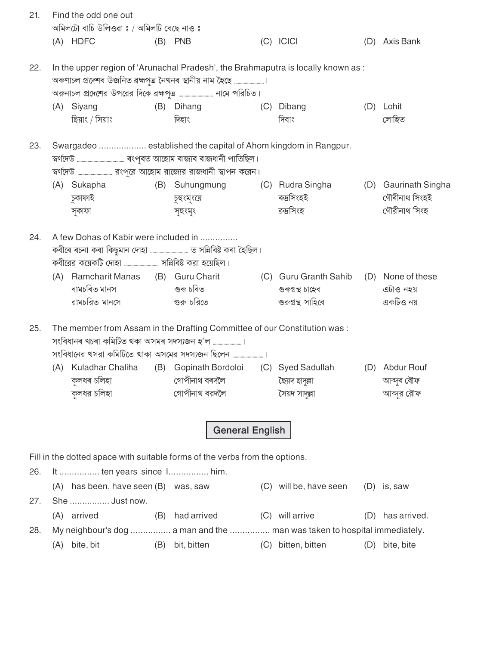| 21.        |     | Find the odd one out<br>অমিলটো বাচি উলিওৱা ঃ / অমিলটি বেছে নাও ঃ                     |     |                                                                                                                             |                                                                                                 |     |                                                       |
|------------|-----|--------------------------------------------------------------------------------------|-----|-----------------------------------------------------------------------------------------------------------------------------|-------------------------------------------------------------------------------------------------|-----|-------------------------------------------------------|
|            |     | (A) HDFC                                                                             |     | $(B)$ PNB                                                                                                                   | $(C)$ ICICI                                                                                     |     | (D) Axis Bank                                         |
| 22.        |     | (A) Siyang                                                                           |     | অৰুণাচল প্ৰদেশৰ উজনিত ব্ৰহ্মপুত্ৰ নৈখনৰ স্থানীয় নাম হৈছে ।<br>(B) Dihang                                                   | In the upper region of 'Arunachal Pradesh', the Brahmaputra is locally known as :<br>(C) Dibang |     | (D) Lohit                                             |
|            |     | ছিয়াং / সিয়াং                                                                      |     | দিহাং                                                                                                                       | দিবাং                                                                                           |     | লোহিত                                                 |
| 23.        |     |                                                                                      |     | Swargadeo  established the capital of Ahom kingdom in Rangpur.                                                              |                                                                                                 |     |                                                       |
|            |     | (A) Sukapha<br>চুকাফাই<br>সুকাফা                                                     |     | চুহুংমুংয়ে<br>সুহুংমুং                                                                                                     | (B) Suhungmung (C) Rudra Singha<br>ৰুদ্ৰসিংহই<br>রুদ্রসিংহ                                      |     | (D) Gaurinath Singha<br>গৌৰীনাথ সিংহই<br>গৌরীনাথ সিংহ |
| 24.        |     | A few Dohas of Kabir were included in                                                |     |                                                                                                                             |                                                                                                 |     |                                                       |
|            | (A) | ৰামচৰিত মানস                                                                         |     | Ramcharit Manas (B) Guru Charit<br>গুৰু চৰিত                                                                                | (C) Guru Granth Sahib (D) None of these<br>গুৰুগ্ৰন্থ চাহেব<br>গুরুগুন্থ সাহিবে                 |     | এটাও নহয়<br>একটিও নয়                                |
| 25.        |     |                                                                                      |     | The member from Assam in the Drafting Committee of our Constitution was:<br>সংবিধানের খসরা কমিটিতে থাকা অসমের সদস্যজন ছিলেন |                                                                                                 |     |                                                       |
|            |     | (A) Kuladhar Chaliha<br>কলধৰ চলিহা<br>কুলধর চলিহা                                    |     | (B) Gopinath Bordoloi<br>গোপীনাথ বৰদলৈ<br>গোপীনাথ বরদলৈ                                                                     | (C) Syed Sadullah<br>ছৈয়দ ছাদ্ল্লা<br>সৈয়দ সাদুল্লা                                           |     | (D) Abdur Rouf<br>আব্দুৰ ৰৌফ<br>আব্দুর রৌফ            |
|            |     |                                                                                      |     | <b>General English</b>                                                                                                      |                                                                                                 |     |                                                       |
|            |     |                                                                                      |     | Fill in the dotted space with suitable forms of the verbs from the options.                                                 |                                                                                                 |     |                                                       |
| 26.<br>27. |     | It  ten years since 1 him.<br>(A) has been, have seen (B) was, saw<br>She  Just now. |     |                                                                                                                             | (C) will be, have seen                                                                          |     | $(D)$ is, saw                                         |
|            |     | (A) arrived                                                                          | (B) | had arrived                                                                                                                 | (C) will arrive                                                                                 | (D) | has arrived.                                          |
| 28.        |     | My neighbour's dog  a man and the  man was taken to hospital immediately.            |     |                                                                                                                             |                                                                                                 |     |                                                       |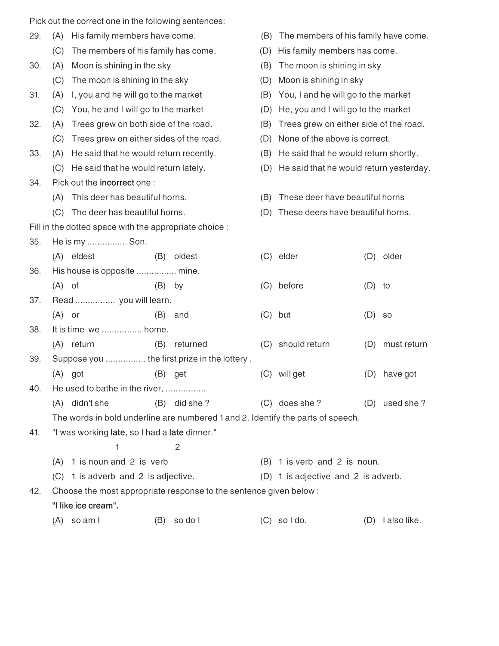|     | Pick out the correct one in the following sentences:   |                                         |                                                                   |     |                                                                                 |          |                 |  |
|-----|--------------------------------------------------------|-----------------------------------------|-------------------------------------------------------------------|-----|---------------------------------------------------------------------------------|----------|-----------------|--|
| 29. | (A)                                                    | His family members have come.           |                                                                   | (B) | The members of his family have come.                                            |          |                 |  |
|     | (C)                                                    | The members of his family has come.     |                                                                   | (D) | His family members has come.                                                    |          |                 |  |
| 30. | (A)                                                    | Moon is shining in the sky              |                                                                   | (B) | The moon is shining in sky                                                      |          |                 |  |
|     | The moon is shining in the sky<br>(C)                  |                                         |                                                                   |     | Moon is shining in sky                                                          |          |                 |  |
| 31. | (A)                                                    | I, you and he will go to the market     |                                                                   | (B) | You, I and he will go to the market                                             |          |                 |  |
|     | (C)                                                    | You, he and I will go to the market     |                                                                   | (D) | He, you and I will go to the market                                             |          |                 |  |
| 32. | (A)                                                    | Trees grew on both side of the road.    |                                                                   | (B) | Trees grew on either side of the road.                                          |          |                 |  |
|     | (C)                                                    | Trees grew on either sides of the road. |                                                                   | (D) | None of the above is correct.                                                   |          |                 |  |
| 33. | (A)                                                    | He said that he would return recently.  |                                                                   | (B) | He said that he would return shortly.                                           |          |                 |  |
|     | (C)                                                    | He said that he would return lately.    |                                                                   | (D) | He said that he would return yesterday.                                         |          |                 |  |
| 34. | Pick out the incorrect one:                            |                                         |                                                                   |     |                                                                                 |          |                 |  |
|     | (A)                                                    | This deer has beautiful horns.          |                                                                   | (B) | These deer have beautiful horns                                                 |          |                 |  |
|     | (C)                                                    | The deer has beautiful horns.           |                                                                   | (D) | These deers have beautiful horns.                                               |          |                 |  |
|     | Fill in the dotted space with the appropriate choice : |                                         |                                                                   |     |                                                                                 |          |                 |  |
| 35. | He is my  Son.                                         |                                         |                                                                   |     |                                                                                 |          |                 |  |
|     | (A) eldest                                             |                                         | (B) oldest                                                        |     | (C) elder                                                                       | (D)      | older           |  |
| 36. | His house is opposite  mine.                           |                                         |                                                                   |     |                                                                                 |          |                 |  |
|     | $(A)$ of                                               | (B)                                     | by                                                                | (C) | before                                                                          | $(D)$ to |                 |  |
| 37. | Read  you will learn.                                  |                                         |                                                                   |     |                                                                                 |          |                 |  |
|     | $(A)$ or                                               | (B)                                     | and                                                               | (C) | but                                                                             | (D)      | <b>SO</b>       |  |
| 38. | It is time we  home.                                   |                                         |                                                                   |     |                                                                                 |          |                 |  |
|     | (A) return                                             | (B)                                     | returned                                                          |     | (C) should return                                                               | (D)      | must return     |  |
| 39. |                                                        |                                         | Suppose you  the first prize in the lottery.                      |     |                                                                                 |          |                 |  |
|     | $(A)$ got                                              | (B)                                     | get                                                               |     | (C) will get                                                                    | (D)      | have got        |  |
| 40. | He used to bathe in the river,                         |                                         |                                                                   |     |                                                                                 |          |                 |  |
|     | (A) didn't she                                         |                                         | $(B)$ did she ?                                                   |     | (C) does she?                                                                   |          | (D) used she?   |  |
|     |                                                        |                                         |                                                                   |     | The words in bold underline are numbered 1 and 2. Identify the parts of speech. |          |                 |  |
| 41. | "I was working late, so I had a late dinner."          |                                         |                                                                   |     |                                                                                 |          |                 |  |
|     |                                                        | 1                                       | $\mathbf{2}$                                                      |     |                                                                                 |          |                 |  |
|     | (A)                                                    | 1 is noun and 2 is verb                 |                                                                   |     | (B) 1 is verb and 2 is noun.                                                    |          |                 |  |
|     | (C)                                                    | 1 is adverb and 2 is adjective.         |                                                                   |     | (D) 1 is adjective and 2 is adverb.                                             |          |                 |  |
| 42. |                                                        |                                         | Choose the most appropriate response to the sentence given below: |     |                                                                                 |          |                 |  |
|     | "I like ice cream".                                    |                                         |                                                                   |     |                                                                                 |          |                 |  |
|     | $(A)$ so am I                                          |                                         | $(B)$ so do I                                                     |     | $(C)$ soldo.                                                                    |          | (D) lalso like. |  |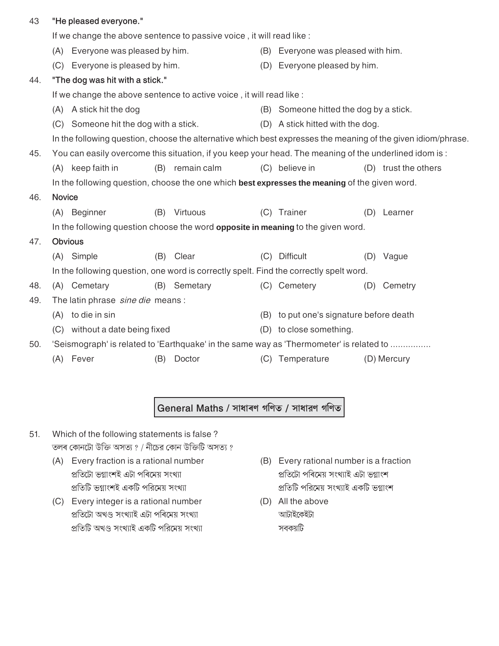| 43  |               | "He pleased everyone."            |     |                                                                                                        |     |                                        |     |                                                                                                              |
|-----|---------------|-----------------------------------|-----|--------------------------------------------------------------------------------------------------------|-----|----------------------------------------|-----|--------------------------------------------------------------------------------------------------------------|
|     |               |                                   |     | If we change the above sentence to passive voice, it will read like :                                  |     |                                        |     |                                                                                                              |
|     |               | (A) Everyone was pleased by him.  |     |                                                                                                        |     | (B) Everyone was pleased with him.     |     |                                                                                                              |
|     | (C)           | Everyone is pleased by him.       |     |                                                                                                        | (D) | Everyone pleased by him.               |     |                                                                                                              |
| 44. |               | "The dog was hit with a stick."   |     |                                                                                                        |     |                                        |     |                                                                                                              |
|     |               |                                   |     | If we change the above sentence to active voice, it will read like :                                   |     |                                        |     |                                                                                                              |
|     | (A)           | A stick hit the dog               |     |                                                                                                        |     | (B) Someone hitted the dog by a stick. |     |                                                                                                              |
|     | (C)           | Someone hit the dog with a stick. |     |                                                                                                        |     | (D) A stick hitted with the dog.       |     |                                                                                                              |
|     |               |                                   |     |                                                                                                        |     |                                        |     | In the following question, choose the alternative which best expresses the meaning of the given idiom/phrase |
| 45. |               |                                   |     | You can easily overcome this situation, if you keep your head. The meaning of the underlined idom is : |     |                                        |     |                                                                                                              |
|     |               | (A) keep faith in                 |     | (B) remain calm                                                                                        |     | (C) believe in                         |     | (D) trust the others                                                                                         |
|     |               |                                   |     | In the following question, choose the one which best expresses the meaning of the given word.          |     |                                        |     |                                                                                                              |
| 46. | <b>Novice</b> |                                   |     |                                                                                                        |     |                                        |     |                                                                                                              |
|     | (A)           | Beginner                          | (B) | Virtuous                                                                                               | (C) | Trainer                                | (D) | Learner                                                                                                      |
|     |               |                                   |     | In the following question choose the word <b>opposite in meaning</b> to the given word.                |     |                                        |     |                                                                                                              |
| 47. |               | <b>Obvious</b>                    |     |                                                                                                        |     |                                        |     |                                                                                                              |
|     |               | (A) Simple                        | (B) | Clear                                                                                                  | (C) | <b>Difficult</b>                       | (D) | Vague                                                                                                        |
|     |               |                                   |     | In the following question, one word is correctly spelt. Find the correctly spelt word.                 |     |                                        |     |                                                                                                              |
| 48. | (A)           | Cemetary                          | (B) | Semetary                                                                                               |     | (C) Cemetery                           | (D) | Cemetry                                                                                                      |
| 49. |               | The latin phrase sine die means:  |     |                                                                                                        |     |                                        |     |                                                                                                              |
|     | (A)           | to die in sin                     |     |                                                                                                        | (B) | to put one's signature before death    |     |                                                                                                              |
|     | (C)           | without a date being fixed        |     |                                                                                                        | (D) | to close something.                    |     |                                                                                                              |
| 50. |               |                                   |     | 'Seismograph' is related to 'Earthquake' in the same way as 'Thermometer' is related to                |     |                                        |     |                                                                                                              |
|     | (A)           | Fever                             | (B) | Doctor                                                                                                 |     | (C) Temperature                        |     | (D) Mercury                                                                                                  |

General Maths / সাধাৰণ গণিত / সাধারণ গণিত

- Which of the following statements is false? 51. তলৰ কোনটো উক্তি অসত্য ? / নীচের কোন উক্তিটি অসত্য ?
	- (A) Every fraction is a rational number প্ৰতিটো ভগ্নাংশই এটা পৰিমেয় সংখ্যা প্রতিটি ভগ্নাংশই একটি পরিমেয় সংখ্যা
	- (C) Every integer is a rational number প্ৰতিটো অখণ্ড সংখ্যাই এটা পৰিমেয় সংখ্যা প্রতিটি অখণ্ড সংখ্যাই একটি পরিমেয় সংখ্যা
- (B) Every rational number is a fraction প্ৰতিটো পৰিমেয় সংখ্যাই এটা ভগ্নাংশ প্রতিটি পরিমেয় সংখ্যাই একটি ভগ্নাংশ
- (D) All the above আটাইকেইটা সবকয়টি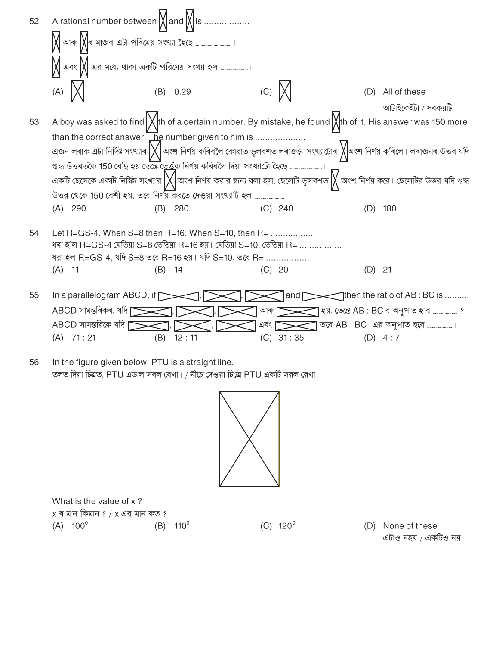

```
In the figure given below, PTU is a straight line.
56.
      তলত দিয়া চিত্ৰত, PTU এডাল সৰল ৰেখা। / নীচে দেওয়া চিত্ৰে PTU একটি সরল রেখা।
```


 $(C)$  120<sup>°</sup>

What is the value of x?  $x$  ৰ মান কিমান ? / x এর মান কত ?  $(A) 100^{\circ}$  $(B)$  110<sup>°</sup>

(D) None of these এটাও নহয় / একটিও নয়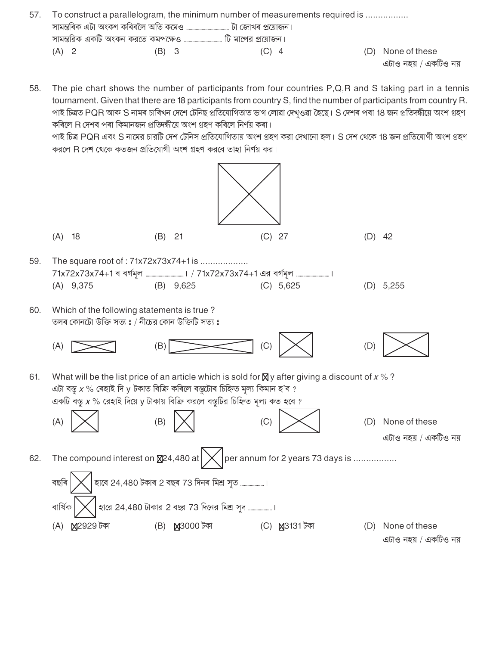| 57. |         |       | To construct a parallelogram, the minimum number of measurements required is |                       |
|-----|---------|-------|------------------------------------------------------------------------------|-----------------------|
|     |         |       |                                                                              |                       |
|     |         |       | সামন্তরিক একটি অংকন করতে কমপক্ষেও …………………………… টি মাপের প্রয়োজন।             |                       |
|     | $(A)$ 2 | (B) 3 | $(C)$ 4                                                                      | (D) None of these     |
|     |         |       |                                                                              | এটাও নহয় / একটিও নয় |

58. The pie chart shows the number of participants from four countries  $P,Q,R$  and S taking part in a tennis tournament. Given that there are 18 participants from country S, find the number of participants from country R. পাই চিত্ৰত PQR আৰু S নামৰ চাৰিখন দেশে টেনিছ প্ৰতিযোগিতাত ভাগ লোৱা দেখওৱা হৈছে। S দেশৰ পৰা 18 জন প্ৰতিদন্ধীয়ে অংশ গ্ৰহণ কৰিলে R দেশৰ পৰা কিমানজন প্ৰতিদন্ধীয়ে অংশ গ্ৰহণ কৰিলে নিৰ্ণয় কৰা।

পাই চিত্র PQR এবং S নামের চারটি দেশ টেনিস প্রতিযোগিতায় অংশ গ্রহণ করা দেখানো হল। S দেশ থেকে 18 জন প্রতিযোগী অংশ গ্রহণ করলে R দেশ থেকে কতজন প্রতিযোগী অংশ গহণ করবে তাহা নির্ণয় কর।

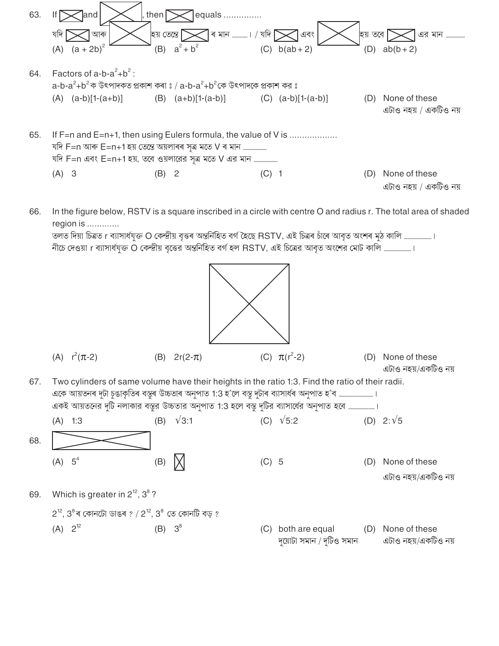

In the figure below, RSTV is a square inscribed in a circle with centre O and radius r. The total area of shaded 66. region is .............

তলত দিয়া চিত্ৰত। ব্যাসাৰ্ধযুক্ত O কেন্দ্ৰীয় বৃত্তৰ অন্তৰ্নিহিত বৰ্গ হৈছে RSTV, এই চিত্ৰৰ চাঁৰে আবৃত অংশৰ মুঠ কালি .....................। নীচে দেওয়া r ব্যাসার্ধযুক্ত O কেন্দ্রীয় বৃত্তের অন্তর্নিহিত বর্গ হল RSTV, এই চিত্রের আবৃত অংশের মোট কালি .....................।

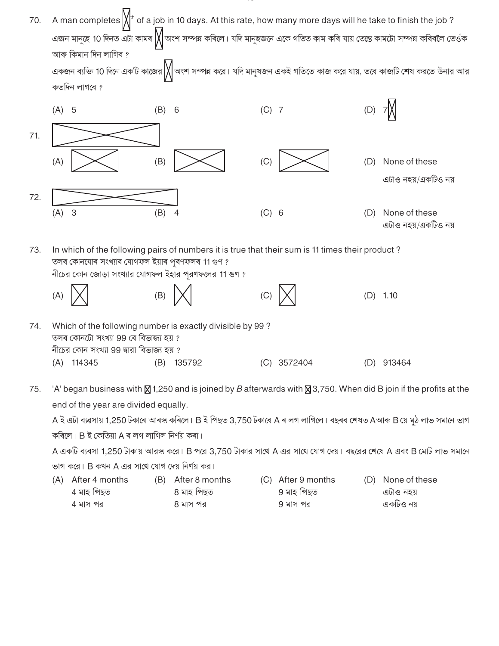| 70. | A man completes $\left \bigvee^{h}$ of a job in 10 days. At this rate, how many more days will he take to finish the job?<br>আৰু কিমান দিন লাগিব ?<br>কতদিন লাগবে ? |                                                                                                                                                                                                           |         |             |     | এজন মানুহে 10 দিনত এটা কামৰ $\bigvee$ অংশ সম্পন্ন কৰিলে। যদি মানুহজনে একে গতিত কাম কৰি যায় তেন্তে কামটো সম্পন্ন কৰিবলৈ তেওঁক<br>একজন ব্যক্তি 10 দিনে একটি কাজের $\bigvee$ অংশ সম্পন্ন করে। যদি মানুষজন একই গতিতে কাজ করে যায়, তবে কাজটি শেষ করতে উনার আর |
|-----|---------------------------------------------------------------------------------------------------------------------------------------------------------------------|-----------------------------------------------------------------------------------------------------------------------------------------------------------------------------------------------------------|---------|-------------|-----|------------------------------------------------------------------------------------------------------------------------------------------------------------------------------------------------------------------------------------------------------------|
|     | $(A)$ 5                                                                                                                                                             | 6<br>(B)                                                                                                                                                                                                  | $(C)$ 7 |             | (D) |                                                                                                                                                                                                                                                            |
| 71. | (A)                                                                                                                                                                 | (B)                                                                                                                                                                                                       | (C)     |             | (D) | None of these<br>এটাও নহয়/একটিও নয়                                                                                                                                                                                                                       |
| 72. | 3<br>(A)                                                                                                                                                            | (B)<br>4                                                                                                                                                                                                  | (C) 6   |             | (D) | None of these<br>এটাও নহয়/একটিও নয়                                                                                                                                                                                                                       |
| 73. |                                                                                                                                                                     | In which of the following pairs of numbers it is true that their sum is 11 times their product?<br>তলৰ কোনযোৰ সংখ্যাৰ যোগফল ইয়াৰ পৰণফলৰ 11 গুণ ?<br>নীচের কোন জোড়া সংখ্যার যোগফল ইহার পূরণফলের 11 গুণ ? |         |             |     |                                                                                                                                                                                                                                                            |
|     | (A)                                                                                                                                                                 | (B)                                                                                                                                                                                                       |         |             | (D) | 1.10                                                                                                                                                                                                                                                       |
| 74. | তলৰ কোনটো সংখ্যা 99 ৰে বিভাজ্য হয় ?<br>নীচের কোন সংখ্যা 99 দ্বারা বিভাজ্য হয় ?                                                                                    | Which of the following number is exactly divisible by 99?                                                                                                                                                 |         |             |     |                                                                                                                                                                                                                                                            |
|     | $(A)$ 114345                                                                                                                                                        | (B) 135792                                                                                                                                                                                                |         | (C) 3572404 |     | (D) 913464                                                                                                                                                                                                                                                 |

75. 'A' began business with  $\boxtimes$  1,250 and is joined by B afterwards with  $\boxtimes$  3,750. When did B join if the profits at the end of the year are divided equally.

A ই এটা ব্যৱসায় 1,250 টকাৰে আৰস্ক কৰিলে। B ই পিছত 3,750 টকাৰে A ৰ লগ লাগিলে। বছৰৰ শেষত Aআৰু B য়ে মুঠ লাভ সমানে ভাগ কৰিলে। B ই কেতিয়া A ৰ লগ লাগিল নিৰ্ণয় কৰা।

A একটি ব্যবসা 1,250 টাকায় আরস্ক করে। B পরে 3,750 টাকার সাথে A এর সাথে যোগ দেয়। বছরের শেষে A এবং B মোট লাভ সমানে ভাগ করে। B কখন A এর সাথে যোগ দেয় নির্ণয় কর।

(A) After 4 months (B) After 8 months (C) After 9 months (D) None of these 4 মাহ পিছত 9 মাহ পিছত ৪ মাহ পিছত এটাও নহয় একটিও নয় 4 মাস পর 8 মাস পর 9 মাস পর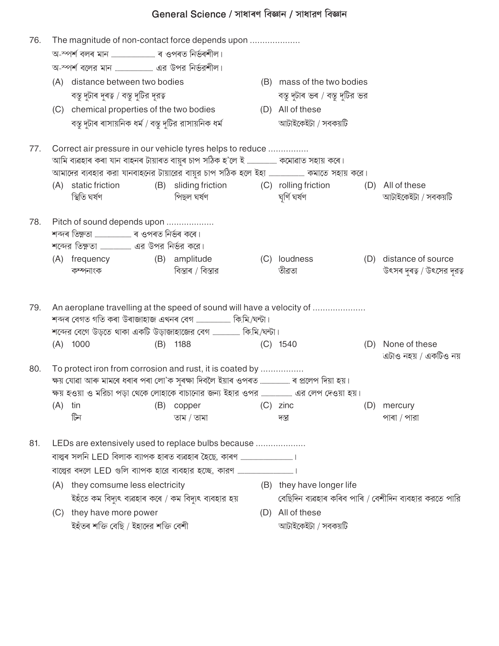## General Science / সাধাৰণ বিজ্ঞান / সাধারণ বিজ্ঞান

| 76. |     | The magnitude of non-contact force depends upon                                                                                                                                                                             |     |                                                         |     |                                 |     |                                                       |
|-----|-----|-----------------------------------------------------------------------------------------------------------------------------------------------------------------------------------------------------------------------------|-----|---------------------------------------------------------|-----|---------------------------------|-----|-------------------------------------------------------|
|     |     |                                                                                                                                                                                                                             |     |                                                         |     |                                 |     |                                                       |
|     | (A) | distance between two bodies                                                                                                                                                                                                 |     |                                                         |     | (B) mass of the two bodies      |     |                                                       |
|     |     | বস্তু দুটাৰ দুৰত্ব / বস্তু দুটির দূরত্ব                                                                                                                                                                                     |     |                                                         |     | বস্তু দুটাৰ ভৰ / বস্তু দুটির ভর |     |                                                       |
|     |     | (C) chemical properties of the two bodies                                                                                                                                                                                   |     |                                                         |     | (D) All of these                |     |                                                       |
|     |     | বস্তু দুটাৰ ৰাসায়নিক ধৰ্ম / বস্তু দুটির রাসায়নিক ধৰ্ম                                                                                                                                                                     |     |                                                         |     | আটাইকেইটা / সবকয়টি             |     |                                                       |
| 77. |     | Correct air pressure in our vehicle tyres helps to reduce<br>আমি ব্যৱহাৰ কৰা যান বাহনৰ টায়াৰত বায়ুৰ চাপ সঠিক হ'লে ই  কমোৱাত সহায় কৰে।<br>আমাদের ব্যবহার করা যানবাহনের টায়ারের বায়ুর চাপ সঠিক হলে ইহা  কমাতে সহায় করে। |     |                                                         |     |                                 |     |                                                       |
|     |     | (A) static friction<br>স্থিতি ঘৰ্ষণ                                                                                                                                                                                         |     | (B) sliding friction (C) rolling friction<br>পিছল ঘৰ্ষণ |     | ঘৰ্ণি ঘৰ্ষণ                     |     | (D) All of these<br>আটাইকেইটা / সবকয়টি               |
| 78. |     | Pitch of sound depends upon<br>(A) frequency<br>কম্পনাংক                                                                                                                                                                    |     | (B) amplitude<br>বিস্তাৰ / বিস্তার                      |     | (C) loudness<br>তীৱতা           |     | (D) distance of source<br>উৎসৰ দূৰত্ব / উৎসের দূরত্ব  |
| 79. |     | An aeroplane travelling at the speed of sound will have a velocity of<br>শব্দৰ বেগত গতি কৰা উৰাজাহাজ এখনৰ বেগ ……………………… কি.মি./ঘন্টা।<br>শব্দের বেগে উড়তে থাকা একটি উড়াজাহাজের বেগ  কি.মি./ঘন্টা।                         |     |                                                         |     |                                 |     |                                                       |
|     | (A) | 1000                                                                                                                                                                                                                        | (B) | 1188                                                    |     | $(C)$ 1540                      |     | (D) None of these<br>এটাও নহয় / একটিও নয়            |
| 80. | (A) | To protect iron from corrosion and rust, it is coated by<br>ক্ষয় যোৱা আৰু মামৰে ধৰাৰ পৰা লো'ক সুৰক্ষা দিবলৈ ইয়াৰ ওপৰত  ৰ প্ৰলেপ দিয়া হয়।<br>tin<br>টিন                                                                  | (B) | copper<br>তাম / তামা                                    | (C) | zinc<br>দস্তা                   | (D) | mercury<br>পাৰা / পারা                                |
| 81. |     | LEDs are extensively used to replace bulbs because                                                                                                                                                                          |     |                                                         |     |                                 |     |                                                       |
|     |     |                                                                                                                                                                                                                             |     |                                                         |     |                                 |     |                                                       |
|     |     | (A) they comsume less electricity                                                                                                                                                                                           |     |                                                         |     | (B) they have longer life       |     |                                                       |
|     |     | ইহঁতে কম বিদ্যুৎ ব্যৱহাৰ কৰে / কম বিদ্যুৎ ব্যবহার হয়                                                                                                                                                                       |     |                                                         |     |                                 |     | বেছিদিন ব্যৱহাৰ কৰিব পাৰি / বেশীদিন ব্যবহার করতে পারি |
|     |     | (C) they have more power                                                                                                                                                                                                    |     |                                                         |     | (D) All of these                |     |                                                       |
|     |     | ইহঁতৰ শক্তি বেছি / ইহাদের শক্তি বেশী                                                                                                                                                                                        |     |                                                         |     | আটাইকেইটা / সবকয়টি             |     |                                                       |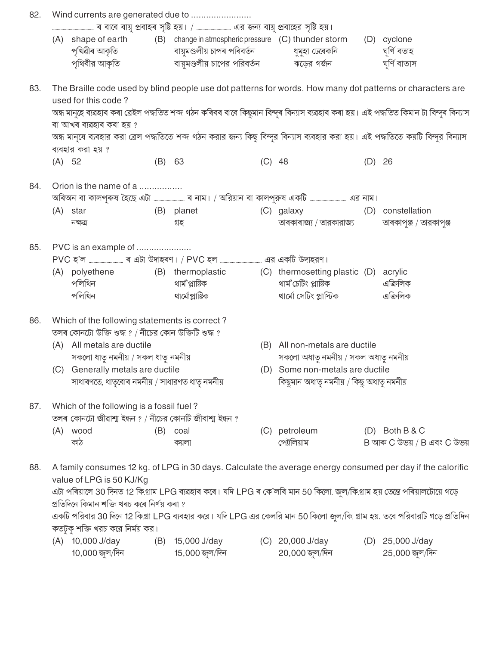| 82. |        |                                                       |          |                                                                                                                          |          |                                          |          |                                                                                                                                         |
|-----|--------|-------------------------------------------------------|----------|--------------------------------------------------------------------------------------------------------------------------|----------|------------------------------------------|----------|-----------------------------------------------------------------------------------------------------------------------------------------|
|     |        |                                                       |          |                                                                                                                          |          |                                          |          |                                                                                                                                         |
|     |        |                                                       |          | (A) shape of earth (B) change in atmospheric pressure (C) thunder storm                                                  |          |                                          |          | (D) cyclone                                                                                                                             |
|     |        |                                                       |          | পৃথিৱীৰ আকৃতি বায়ুমণ্ডলীয় চাপৰ পৰিবৰ্তন বা শ্বমুহা ঢেৰেকনি                                                             |          |                                          |          | ঘূৰ্ণি বতাহ                                                                                                                             |
|     |        | পৃথিবীর আকৃতি                                         |          | বায়ুমণ্ডলীয় চাপের পরিবর্তন             ঝড়ের গর্জন                                                                     |          |                                          |          | ঘৰ্ণি বাতাস                                                                                                                             |
| 83. |        |                                                       |          |                                                                                                                          |          |                                          |          | The Braille code used by blind people use dot patterns for words. How many dot patterns or characters are                               |
|     |        | used for this code?                                   |          |                                                                                                                          |          |                                          |          |                                                                                                                                         |
|     |        |                                                       |          |                                                                                                                          |          |                                          |          | অন্ধ মানুহে ব্যৱহাৰ কৰা ব্ৰেইল পদ্ধতিত শব্দ গঠন কৰিবৰ বাবে কিছুমান বিন্দুৰ বিন্যাস ব্যৱহাৰ কৰা হয়। এই পদ্ধতিত কিমান টা বিন্দুৰ বিন্যাস |
|     |        | বা আখৰ ব্যৱহাৰ কৰা হয় ?                              |          |                                                                                                                          |          |                                          |          |                                                                                                                                         |
|     |        |                                                       |          |                                                                                                                          |          |                                          |          | অন্ধ মানুষে ব্যবহার করা ব্রেল পদ্ধতিতে শব্দ গঠন করার জন্য কিছু বিন্দুর বিন্যাস ব্যবহার করা হয়। এই পদ্ধতিতে কয়টি বিন্দুর বিন্যাস       |
|     |        | ব্যবহার করা হয় ?                                     |          |                                                                                                                          |          |                                          |          |                                                                                                                                         |
|     | (A) 52 |                                                       | $(B)$ 63 |                                                                                                                          | $(C)$ 48 |                                          | $(D)$ 26 |                                                                                                                                         |
| 84. |        | Orion is the name of a                                |          |                                                                                                                          |          |                                          |          |                                                                                                                                         |
|     |        |                                                       |          |                                                                                                                          |          |                                          |          |                                                                                                                                         |
|     |        | $(A)$ star                                            |          | (B) planet                                                                                                               |          | (C) galaxy                               |          | (D) constellation                                                                                                                       |
|     |        | নক্ষত্র                                               |          | গ্ৰহ                                                                                                                     |          | তাৰকাৰাজ্য / তারকারাজ্য                  |          | তাৰকাপুঞ্জ / তারকাপুঞ্জ                                                                                                                 |
|     |        |                                                       |          |                                                                                                                          |          |                                          |          |                                                                                                                                         |
| 85. |        | PVC is an example of                                  |          |                                                                                                                          |          |                                          |          |                                                                                                                                         |
|     |        |                                                       |          |                                                                                                                          |          |                                          |          |                                                                                                                                         |
|     |        |                                                       |          | (A) polyethene (B) thermoplastic (C) thermosetting plastic (D) acrylic                                                   |          |                                          |          |                                                                                                                                         |
|     |        | পলিথিন                                                |          | থাৰ্ম'প্লাষ্টিক                                                                                                          |          | থাৰ্ম'চেটিং প্লাষ্টিক                    |          | এক্রিলিক                                                                                                                                |
|     |        | পলিথিন                                                |          | থার্মোপ্লাষ্টিক                                                                                                          |          | থার্মো সেটিং প্লাস্টিক                   |          | এক্রিলিক                                                                                                                                |
| 86. |        | Which of the following statements is correct?         |          |                                                                                                                          |          |                                          |          |                                                                                                                                         |
|     |        | তলৰ কোনটো উক্তি শুদ্ধ ? / নীচের কোন উক্তিটি শুদ্ধ ?   |          |                                                                                                                          |          |                                          |          |                                                                                                                                         |
|     |        | (A) All metals are ductile                            |          |                                                                                                                          |          | (B) All non-metals are ductile           |          |                                                                                                                                         |
|     |        | সকলো ধাতু নমনীয় / সকল ধাতু নমনীয়                    |          |                                                                                                                          |          | সকলো অধাতু নমনীয় / সকল অধাতু নমনীয়     |          |                                                                                                                                         |
|     |        | (C) Generally metals are ductile                      |          |                                                                                                                          |          | (D) Some non-metals are ductile          |          |                                                                                                                                         |
|     |        | সাধাৰণতে, ধাতৃবোৰ নমনীয় / সাধারণত ধাতৃ নমনীয়        |          |                                                                                                                          |          | কিছুমান অধাতু নমনীয় / কিছু অধাতু নমনীয় |          |                                                                                                                                         |
| 87. |        | Which of the following is a fossil fuel?              |          |                                                                                                                          |          |                                          |          |                                                                                                                                         |
|     |        | তলৰ কোনটো জীৱাশা ইন্ধন ? / নীচের কোনটি জীবাশা ইন্ধন ? |          |                                                                                                                          |          |                                          |          |                                                                                                                                         |
|     |        | (A) wood                                              | (B)      | coal                                                                                                                     | (C)      | petroleum                                |          | $(D)$ Both B & C                                                                                                                        |
|     |        | কাঠ                                                   |          | কয়লা                                                                                                                    |          | পেট্রলিয়াম                              |          | B আৰু C উভয় / B এবং C উভয়                                                                                                             |
| 88. |        |                                                       |          |                                                                                                                          |          |                                          |          | A family consumes 12 kg. of LPG in 30 days. Calculate the average energy consumed per day if the calorific                              |
|     |        | value of LPG is 50 KJ/Kg                              |          |                                                                                                                          |          |                                          |          |                                                                                                                                         |
|     |        |                                                       |          | এটা পৰিয়ালে 30 দিনত 12 কি.গ্ৰাম LPG ব্যৱহাৰ কৰে। যদি LPG ৰ কে'লৰি মান 50 কিলো জুল/কি.গ্ৰাম হয় তেন্তে পৰিয়ালটোয়ে গড়ে |          |                                          |          |                                                                                                                                         |
|     |        | প্ৰতিদিনে কিমান শক্তি খৰচ কৰে নিৰ্ণয় কৰা ?           |          |                                                                                                                          |          |                                          |          |                                                                                                                                         |
|     |        |                                                       |          |                                                                                                                          |          |                                          |          | একটি পরিবার 30 দিনে 12 কি.গ্রা LPG ব্যবহার করে। যদি LPG এর কেলরি মান 50 কিলো জুল/কি. গ্রাম হয়, তবে পরিবারটি গড়ে প্রতিদিন              |
|     |        | কতটুকু শক্তি খরচ করে নির্ময় কর।                      |          |                                                                                                                          |          |                                          |          |                                                                                                                                         |
|     |        | (A) 10,000 J/day                                      | (B)      | 15,000 J/day                                                                                                             |          | (C) 20,000 J/day                         |          | (D) 25,000 J/day                                                                                                                        |
|     |        | 10,000 জুল/দিন                                        |          | 15,000 জুল/দিন                                                                                                           |          | $20,000$ জুল/দিন                         |          | 25,000 জুল/দিন                                                                                                                          |
|     |        |                                                       |          |                                                                                                                          |          |                                          |          |                                                                                                                                         |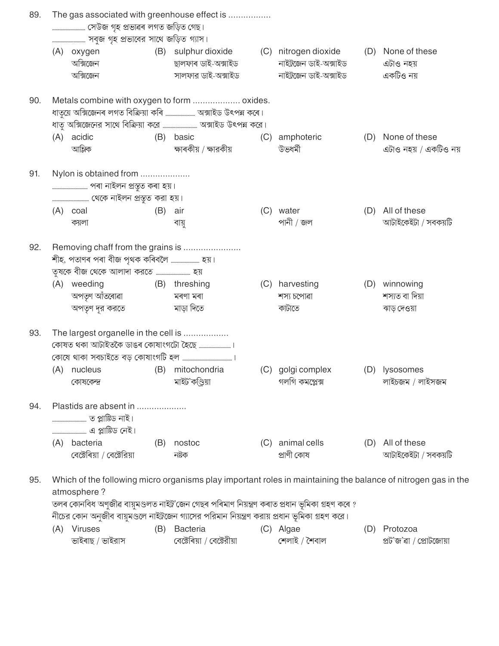|     |                                                                                                                              | The gas associated with greenhouse effect is |     |                                                                                                |     |                            |     |                                     |  |  |  |  |
|-----|------------------------------------------------------------------------------------------------------------------------------|----------------------------------------------|-----|------------------------------------------------------------------------------------------------|-----|----------------------------|-----|-------------------------------------|--|--|--|--|
|     | সেউজ গৃহ প্ৰভাৱৰ লগত জড়িত গেছ।                                                                                              |                                              |     |                                                                                                |     |                            |     |                                     |  |  |  |  |
|     |                                                                                                                              |                                              |     |                                                                                                |     |                            |     |                                     |  |  |  |  |
|     |                                                                                                                              | (A) oxygen                                   |     | (B) sulphur dioxide (C) nitrogen dioxide                                                       |     |                            | (D) | None of these                       |  |  |  |  |
|     |                                                                                                                              | অক্সিজেন                                     |     | ছালফাৰ ডাই-অক্সাইড                                                                             |     | নাইট্রজেন ডাই-অক্সাইড      |     | এটাও নহয়                           |  |  |  |  |
|     |                                                                                                                              | অক্সিজেন                                     |     | সালফার ডাই-অক্সাইড                                                                             |     | নাইট্রজেন ডাই-অক্সাইড      |     | একটিও নয়                           |  |  |  |  |
| 90. | Metals combine with oxygen to form  oxides.                                                                                  |                                              |     |                                                                                                |     |                            |     |                                     |  |  |  |  |
|     |                                                                                                                              |                                              |     |                                                                                                |     |                            |     |                                     |  |  |  |  |
|     |                                                                                                                              |                                              |     |                                                                                                |     |                            |     |                                     |  |  |  |  |
|     | (A)                                                                                                                          | acidic                                       |     | (B) basic                                                                                      |     | (C) amphoteric             |     | (D) None of these                   |  |  |  |  |
|     |                                                                                                                              | আন্লিক                                       |     | ক্ষাৰকীয় / ক্ষারকীয়                                                                          |     | উভধৰ্মী                    |     | এটাও নহয় / একটিও নয়               |  |  |  |  |
| 91. | Nylon is obtained from                                                                                                       |                                              |     |                                                                                                |     |                            |     |                                     |  |  |  |  |
|     |                                                                                                                              |                                              |     |                                                                                                |     |                            |     |                                     |  |  |  |  |
|     |                                                                                                                              |                                              |     |                                                                                                |     |                            |     |                                     |  |  |  |  |
|     |                                                                                                                              | $(A)$ coal                                   | (B) | air                                                                                            |     | (C) water                  |     | (D) All of these                    |  |  |  |  |
|     |                                                                                                                              | কয়লা                                        |     | বায়ু                                                                                          |     | পানী / জল                  |     | আটাইকেইটা / সবকয়টি                 |  |  |  |  |
| 92. | Removing chaff from the grains is                                                                                            |                                              |     |                                                                                                |     |                            |     |                                     |  |  |  |  |
|     |                                                                                                                              | শীহ, পতাণৰ পৰা বীজ পৃথক কৰিবলৈ  হয়।         |     |                                                                                                |     |                            |     |                                     |  |  |  |  |
|     |                                                                                                                              |                                              |     |                                                                                                |     |                            |     |                                     |  |  |  |  |
|     | (A)                                                                                                                          | weeding                                      |     | (B) threshing                                                                                  |     | (C) harvesting             | (D) | winnowing                           |  |  |  |  |
|     |                                                                                                                              | অপতৃণ আঁতৰোৱা                                |     | মৰণা মৰা                                                                                       |     | শস্য চপোৱা                 |     | শস্যত বা দিয়া                      |  |  |  |  |
|     |                                                                                                                              | অপতৃণ দূর করতে                               |     | মাড়া দিতে                                                                                     |     | কাটাতে                     |     | ঝাড় দেওয়া                         |  |  |  |  |
| 93. | The largest organelle in the cell is                                                                                         |                                              |     |                                                                                                |     |                            |     |                                     |  |  |  |  |
|     |                                                                                                                              |                                              |     |                                                                                                |     |                            |     |                                     |  |  |  |  |
|     |                                                                                                                              |                                              |     |                                                                                                |     |                            |     |                                     |  |  |  |  |
|     |                                                                                                                              | (A) nucleus                                  |     | (B) mitochondria                                                                               |     | (C) golgi complex          |     | (D) lysosomes                       |  |  |  |  |
|     |                                                                                                                              | কোষকেন্দ্র                                   |     | মাইট'কণ্ডিয়া                                                                                  |     | গলগি কমপ্লেক্স             |     | লাইচজম / লাইসজম                     |  |  |  |  |
| 94. | Plastids are absent in                                                                                                       |                                              |     |                                                                                                |     |                            |     |                                     |  |  |  |  |
|     |                                                                                                                              |                                              |     |                                                                                                |     |                            |     |                                     |  |  |  |  |
|     |                                                                                                                              |                                              |     |                                                                                                |     |                            |     |                                     |  |  |  |  |
|     |                                                                                                                              | (A) bacteria<br>বেক্টেৰিয়া / বেক্টেরিয়া    | (B) | nostoc<br>নষ্টক                                                                                | (C) | animal cells<br>প্ৰাণী কোষ | (D) | All of these<br>আটাইকেইটা / সবকয়টি |  |  |  |  |
|     |                                                                                                                              |                                              |     |                                                                                                |     |                            |     |                                     |  |  |  |  |
| 95. | Which of the following micro organisms play important roles in maintaining the balance of nitrogen gas in the<br>atmosphere? |                                              |     |                                                                                                |     |                            |     |                                     |  |  |  |  |
|     |                                                                                                                              |                                              |     | তলৰ কোনবিধ অণুজীৱ বায়ুমণ্ডলত নাইট্ৰ'জেন গেছৰ পৰিমাণ নিয়ন্ত্ৰণ কৰাত প্ৰধান ভূমিকা গ্ৰহণ কৰে ? |     |                            |     |                                     |  |  |  |  |
|     | নীচের কোন অনুজীব বায়ুমণ্ডলে নাইট্রজেন গ্যাসের পরিমান নিয়ন্ত্রণ করায় প্রধান ভূমিকা গ্রহণ করে।                              |                                              |     |                                                                                                |     |                            |     |                                     |  |  |  |  |

(C) Algae (A) Viruses (B) Bacteria (D) Protozoa ভাইৰাছ / ভাইরাস বেক্টেৰিয়া / বেক্টেরীয়া শেলাই / শৈবাল প্ৰট'জ'ৰা / প্ৰোটজোয়া